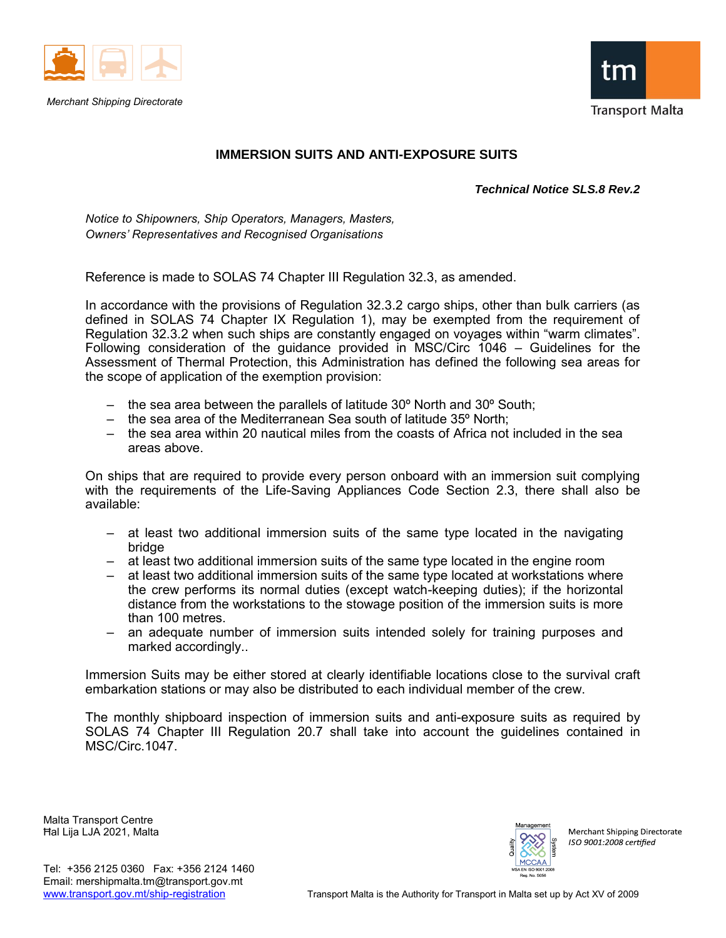

*Merchant Shipping Directorate*



## **IMMERSION SUITS AND ANTI-EXPOSURE SUITS**

*Technical Notice SLS.8 Rev.2* 

*Notice to Shipowners, Ship Operators, Managers, Masters, Owners' Representatives and Recognised Organisations* 

Reference is made to SOLAS 74 Chapter III Regulation 32.3, as amended.

In accordance with the provisions of Regulation 32.3.2 cargo ships, other than bulk carriers (as defined in SOLAS 74 Chapter IX Regulation 1), may be exempted from the requirement of Regulation 32.3.2 when such ships are constantly engaged on voyages within "warm climates". Following consideration of the guidance provided in MSC/Circ 1046 – Guidelines for the Assessment of Thermal Protection, this Administration has defined the following sea areas for the scope of application of the exemption provision:

- the sea area between the parallels of latitude 30º North and 30º South;
- $-$  the sea area of the Mediterranean Sea south of latitude 35 $^{\circ}$  North:
- the sea area within 20 nautical miles from the coasts of Africa not included in the sea areas above.

On ships that are required to provide every person onboard with an immersion suit complying with the requirements of the Life-Saving Appliances Code Section 2.3, there shall also be available:

- at least two additional immersion suits of the same type located in the navigating bridge
- at least two additional immersion suits of the same type located in the engine room
- at least two additional immersion suits of the same type located at workstations where the crew performs its normal duties (except watch-keeping duties); if the horizontal distance from the workstations to the stowage position of the immersion suits is more than 100 metres.
- an adequate number of immersion suits intended solely for training purposes and marked accordingly..

Immersion Suits may be either stored at clearly identifiable locations close to the survival craft embarkation stations or may also be distributed to each individual member of the crew.

The monthly shipboard inspection of immersion suits and anti-exposure suits as required by SOLAS 74 Chapter III Regulation 20.7 shall take into account the guidelines contained in MSC/Circ.1047.

Malta Transport Centre Ħal Lija LJA 2021, Malta



Merchant Shipping Directorate ISO 9001:2008 certified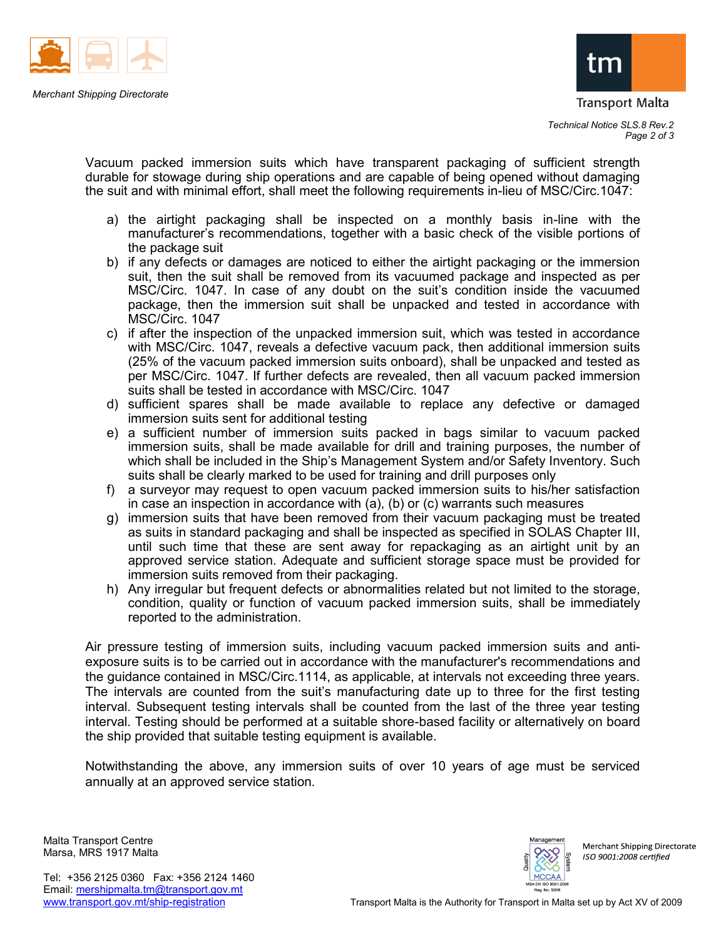

Transport Malta

Vacuum packed immersion suits which have transparent packaging of sufficient strength durable for stowage during ship operations and are capable of being opened without damaging the suit and with minimal effort, shall meet the following requirements in-lieu of MSC/Circ.1047:

- a) the airtight packaging shall be inspected on a monthly basis in-line with the manufacturer's recommendations, together with a basic check of the visible portions of the package suit
- b) if any defects or damages are noticed to either the airtight packaging or the immersion suit, then the suit shall be removed from its vacuumed package and inspected as per MSC/Circ. 1047. In case of any doubt on the suit's condition inside the vacuumed package, then the immersion suit shall be unpacked and tested in accordance with MSC/Circ. 1047
- c) if after the inspection of the unpacked immersion suit, which was tested in accordance with MSC/Circ. 1047, reveals a defective vacuum pack, then additional immersion suits (25% of the vacuum packed immersion suits onboard), shall be unpacked and tested as per MSC/Circ. 1047. If further defects are revealed, then all vacuum packed immersion suits shall be tested in accordance with MSC/Circ. 1047
- d) sufficient spares shall be made available to replace any defective or damaged immersion suits sent for additional testing
- e) a sufficient number of immersion suits packed in bags similar to vacuum packed immersion suits, shall be made available for drill and training purposes, the number of which shall be included in the Ship's Management System and/or Safety Inventory. Such suits shall be clearly marked to be used for training and drill purposes only
- f) a surveyor may request to open vacuum packed immersion suits to his/her satisfaction in case an inspection in accordance with (a), (b) or (c) warrants such measures
- g) immersion suits that have been removed from their vacuum packaging must be treated as suits in standard packaging and shall be inspected as specified in SOLAS Chapter III, until such time that these are sent away for repackaging as an airtight unit by an approved service station. Adequate and sufficient storage space must be provided for immersion suits removed from their packaging.
- h) Any irregular but frequent defects or abnormalities related but not limited to the storage, condition, quality or function of vacuum packed immersion suits, shall be immediately reported to the administration.

Air pressure testing of immersion suits, including vacuum packed immersion suits and antiexposure suits is to be carried out in accordance with the manufacturer's recommendations and the guidance contained in MSC/Circ.1114, as applicable, at intervals not exceeding three years. The intervals are counted from the suit's manufacturing date up to three for the first testing interval. Subsequent testing intervals shall be counted from the last of the three year testing interval. Testing should be performed at a suitable shore-based facility or alternatively on board the ship provided that suitable testing equipment is available.

Notwithstanding the above, any immersion suits of over 10 years of age must be serviced annually at an approved service station.

Malta Transport Centre Marsa, MRS 1917 Malta



Merchant Shipping Directorate ISO 9001:2008 certified